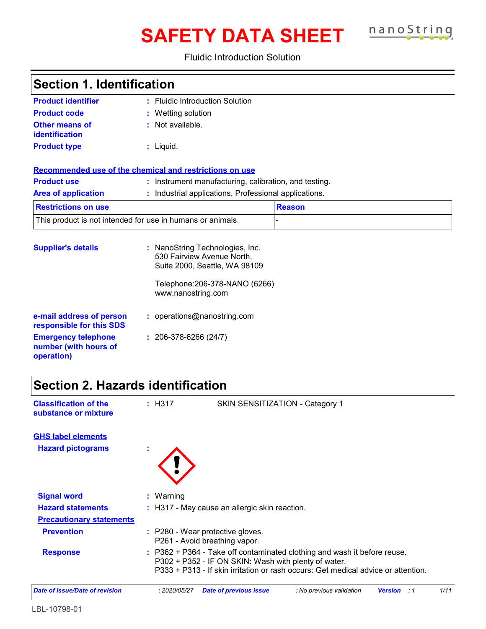# **SAFETY DATA SHEET**

nanoString

### Fluidic Introduction Solution

| <b>Section 1. Identification</b>                                  |                                                                                                                                                        |               |
|-------------------------------------------------------------------|--------------------------------------------------------------------------------------------------------------------------------------------------------|---------------|
| <b>Product identifier</b>                                         | : Fluidic Introduction Solution                                                                                                                        |               |
| <b>Product code</b>                                               | : Wetting solution                                                                                                                                     |               |
| <b>Other means of</b><br><b>identification</b>                    | : Not available.                                                                                                                                       |               |
| <b>Product type</b>                                               | $:$ Liquid.                                                                                                                                            |               |
|                                                                   | Recommended use of the chemical and restrictions on use                                                                                                |               |
| <b>Product use</b>                                                | : Instrument manufacturing, calibration, and testing.                                                                                                  |               |
| <b>Area of application</b>                                        | Industrial applications, Professional applications.                                                                                                    |               |
| <b>Restrictions on use</b>                                        |                                                                                                                                                        | <b>Reason</b> |
| This product is not intended for use in humans or animals.        |                                                                                                                                                        |               |
| <b>Supplier's details</b>                                         | : NanoString Technologies, Inc.<br>530 Fairview Avenue North,<br>Suite 2000, Seattle, WA 98109<br>Telephone: 206-378-NANO (6266)<br>www.nanostring.com |               |
| e-mail address of person<br>responsible for this SDS              | : operations@nanostring.com                                                                                                                            |               |
| <b>Emergency telephone</b><br>number (with hours of<br>operation) | $: 206-378-6266(24/7)$                                                                                                                                 |               |

## **Section 2. Hazards identification**

| <b>Classification of the</b><br>substance or mixture | : H317       | SKIN SENSITIZATION - Category 1                                   |                                                                                                                                                             |                      |      |
|------------------------------------------------------|--------------|-------------------------------------------------------------------|-------------------------------------------------------------------------------------------------------------------------------------------------------------|----------------------|------|
| <b>GHS label elements</b>                            |              |                                                                   |                                                                                                                                                             |                      |      |
| <b>Hazard pictograms</b>                             | ×.           |                                                                   |                                                                                                                                                             |                      |      |
| <b>Signal word</b>                                   | $:$ Warning  |                                                                   |                                                                                                                                                             |                      |      |
| <b>Hazard statements</b>                             |              | : H317 - May cause an allergic skin reaction.                     |                                                                                                                                                             |                      |      |
| <b>Precautionary statements</b>                      |              |                                                                   |                                                                                                                                                             |                      |      |
| <b>Prevention</b>                                    |              | : P280 - Wear protective gloves.<br>P261 - Avoid breathing vapor. |                                                                                                                                                             |                      |      |
| <b>Response</b>                                      |              | P302 + P352 - IF ON SKIN: Wash with plenty of water.              | P362 + P364 - Take off contaminated clothing and wash it before reuse.<br>P333 + P313 - If skin irritation or rash occurs: Get medical advice or attention. |                      |      |
| Date of issue/Date of revision                       | : 2020/05/27 | <b>Date of previous issue</b>                                     | : No previous validation                                                                                                                                    | <b>Version</b><br>:1 | 1/11 |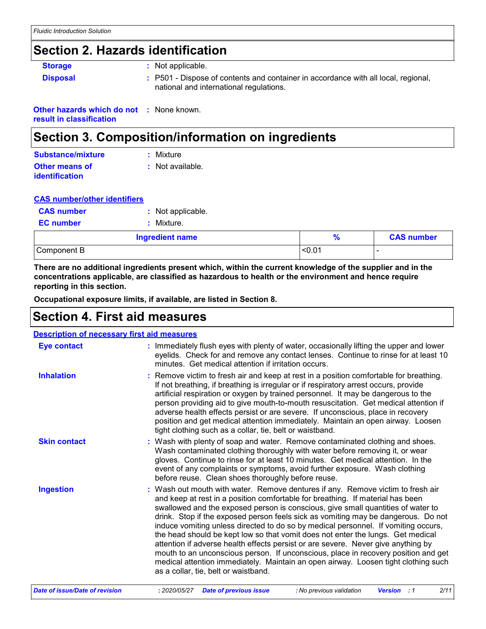## **Section 2. Hazards identification**

| <b>Storage</b>  | : Not applicable.                                                                                                             |
|-----------------|-------------------------------------------------------------------------------------------------------------------------------|
| <b>Disposal</b> | : P501 - Dispose of contents and container in accordance with all local, regional,<br>national and international regulations. |

**Other hazards which do not :** None known. **result in classification**

## **Section 3. Composition/information on ingredients**

| Substance/mixture                              | : Mixture          |
|------------------------------------------------|--------------------|
| <b>Other means of</b><br><b>identification</b> | $:$ Not available. |

|  | <b>CAS number/other identifiers</b> |  |
|--|-------------------------------------|--|
|  |                                     |  |

| <b>CAS number</b> | : Not applicable. |
|-------------------|-------------------|
| <b>EC</b> number  | : Mixture.        |
|                   |                   |

| <b>Ingredient name</b> |                 | <b>CAS number</b> |
|------------------------|-----------------|-------------------|
| Component B            | $\sim$<br>_<0.∪ |                   |

**There are no additional ingredients present which, within the current knowledge of the supplier and in the concentrations applicable, are classified as hazardous to health or the environment and hence require reporting in this section.**

**Occupational exposure limits, if available, are listed in Section 8.**

## **Section 4. First aid measures**

| <b>Description of necessary first aid measures</b> |                                                                                                                                                                                                                                                                                                                                                                                                                                                                                                                                                                                                                                                                                                                                                                                                                              |
|----------------------------------------------------|------------------------------------------------------------------------------------------------------------------------------------------------------------------------------------------------------------------------------------------------------------------------------------------------------------------------------------------------------------------------------------------------------------------------------------------------------------------------------------------------------------------------------------------------------------------------------------------------------------------------------------------------------------------------------------------------------------------------------------------------------------------------------------------------------------------------------|
| <b>Eye contact</b>                                 | : Immediately flush eyes with plenty of water, occasionally lifting the upper and lower<br>eyelids. Check for and remove any contact lenses. Continue to rinse for at least 10<br>minutes. Get medical attention if irritation occurs.                                                                                                                                                                                                                                                                                                                                                                                                                                                                                                                                                                                       |
| <b>Inhalation</b>                                  | : Remove victim to fresh air and keep at rest in a position comfortable for breathing.<br>If not breathing, if breathing is irregular or if respiratory arrest occurs, provide<br>artificial respiration or oxygen by trained personnel. It may be dangerous to the<br>person providing aid to give mouth-to-mouth resuscitation. Get medical attention if<br>adverse health effects persist or are severe. If unconscious, place in recovery<br>position and get medical attention immediately. Maintain an open airway. Loosen<br>tight clothing such as a collar, tie, belt or waistband.                                                                                                                                                                                                                                 |
| <b>Skin contact</b>                                | : Wash with plenty of soap and water. Remove contaminated clothing and shoes.<br>Wash contaminated clothing thoroughly with water before removing it, or wear<br>gloves. Continue to rinse for at least 10 minutes. Get medical attention. In the<br>event of any complaints or symptoms, avoid further exposure. Wash clothing<br>before reuse. Clean shoes thoroughly before reuse.                                                                                                                                                                                                                                                                                                                                                                                                                                        |
| <b>Ingestion</b>                                   | : Wash out mouth with water. Remove dentures if any. Remove victim to fresh air<br>and keep at rest in a position comfortable for breathing. If material has been<br>swallowed and the exposed person is conscious, give small quantities of water to<br>drink. Stop if the exposed person feels sick as vomiting may be dangerous. Do not<br>induce vomiting unless directed to do so by medical personnel. If vomiting occurs,<br>the head should be kept low so that vomit does not enter the lungs. Get medical<br>attention if adverse health effects persist or are severe. Never give anything by<br>mouth to an unconscious person. If unconscious, place in recovery position and get<br>medical attention immediately. Maintain an open airway. Loosen tight clothing such<br>as a collar, tie, belt or waistband. |
| <b>Date of issue/Date of revision</b>              | 2/11<br>: 2020/05/27<br><b>Date of previous issue</b><br>: No previous validation<br><b>Version</b> : 1                                                                                                                                                                                                                                                                                                                                                                                                                                                                                                                                                                                                                                                                                                                      |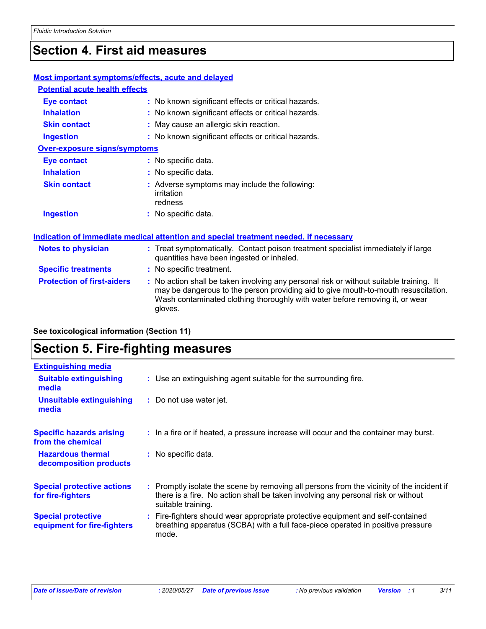## **Section 4. First aid measures**

### **Most important symptoms/effects, acute and delayed**

| <b>Potential acute health effects</b> |                                                                                                                                                                                                                                                                          |
|---------------------------------------|--------------------------------------------------------------------------------------------------------------------------------------------------------------------------------------------------------------------------------------------------------------------------|
| Eye contact                           | : No known significant effects or critical hazards.                                                                                                                                                                                                                      |
| <b>Inhalation</b>                     | : No known significant effects or critical hazards.                                                                                                                                                                                                                      |
| <b>Skin contact</b>                   | : May cause an allergic skin reaction.                                                                                                                                                                                                                                   |
| <b>Ingestion</b>                      | : No known significant effects or critical hazards.                                                                                                                                                                                                                      |
| <b>Over-exposure signs/symptoms</b>   |                                                                                                                                                                                                                                                                          |
| Eye contact                           | : No specific data.                                                                                                                                                                                                                                                      |
| <b>Inhalation</b>                     | : No specific data.                                                                                                                                                                                                                                                      |
| <b>Skin contact</b>                   | : Adverse symptoms may include the following:<br>irritation<br>redness                                                                                                                                                                                                   |
| <b>Ingestion</b>                      | : No specific data.                                                                                                                                                                                                                                                      |
|                                       | Indication of immediate medical attention and special treatment needed, if necessary                                                                                                                                                                                     |
| Notes to physician                    | : Treat symptomatically. Contact poison treatment specialist immediately if large<br>quantities have been ingested or inhaled.                                                                                                                                           |
| <b>Specific treatments</b>            | : No specific treatment.                                                                                                                                                                                                                                                 |
| <b>Protection of first-aiders</b>     | : No action shall be taken involving any personal risk or without suitable training. It<br>may be dangerous to the person providing aid to give mouth-to-mouth resuscitation.<br>Wash contaminated clothing thoroughly with water before removing it, or wear<br>gloves. |

**See toxicological information (Section 11)**

## **Section 5. Fire-fighting measures**

| <b>Extinguishing media</b>                               |                                                                                                                                                                                                     |
|----------------------------------------------------------|-----------------------------------------------------------------------------------------------------------------------------------------------------------------------------------------------------|
| Suitable extinguishing<br>media                          | : Use an extinguishing agent suitable for the surrounding fire.                                                                                                                                     |
| <b>Unsuitable extinguishing</b><br>media                 | : Do not use water jet.                                                                                                                                                                             |
| <b>Specific hazards arising</b><br>from the chemical     | : In a fire or if heated, a pressure increase will occur and the container may burst.                                                                                                               |
| <b>Hazardous thermal</b><br>decomposition products       | : No specific data.                                                                                                                                                                                 |
| <b>Special protective actions</b><br>for fire-fighters   | : Promptly isolate the scene by removing all persons from the vicinity of the incident if<br>there is a fire. No action shall be taken involving any personal risk or without<br>suitable training. |
| <b>Special protective</b><br>equipment for fire-fighters | : Fire-fighters should wear appropriate protective equipment and self-contained<br>breathing apparatus (SCBA) with a full face-piece operated in positive pressure<br>mode.                         |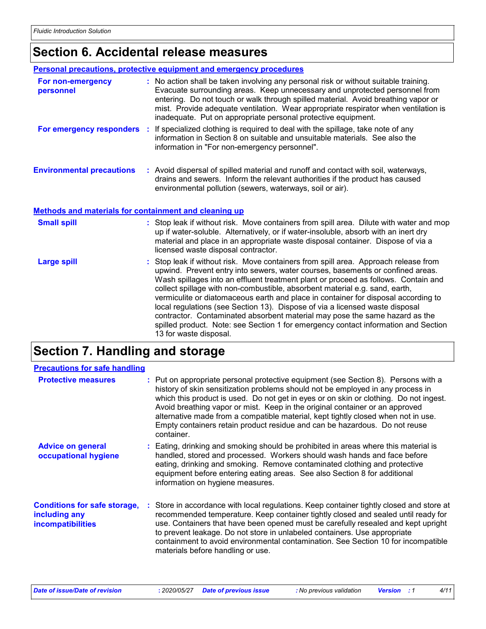## **Section 6. Accidental release measures**

|                                                              | Personal precautions, protective equipment and emergency procedures                                                                                                                                                                                                                                                                                                                                                                                                                                                                                                                                                                                                                                             |
|--------------------------------------------------------------|-----------------------------------------------------------------------------------------------------------------------------------------------------------------------------------------------------------------------------------------------------------------------------------------------------------------------------------------------------------------------------------------------------------------------------------------------------------------------------------------------------------------------------------------------------------------------------------------------------------------------------------------------------------------------------------------------------------------|
| For non-emergency<br>personnel                               | : No action shall be taken involving any personal risk or without suitable training.<br>Evacuate surrounding areas. Keep unnecessary and unprotected personnel from<br>entering. Do not touch or walk through spilled material. Avoid breathing vapor or<br>mist. Provide adequate ventilation. Wear appropriate respirator when ventilation is<br>inadequate. Put on appropriate personal protective equipment.                                                                                                                                                                                                                                                                                                |
| For emergency responders :                                   | If specialized clothing is required to deal with the spillage, take note of any<br>information in Section 8 on suitable and unsuitable materials. See also the<br>information in "For non-emergency personnel".                                                                                                                                                                                                                                                                                                                                                                                                                                                                                                 |
| <b>Environmental precautions</b>                             | : Avoid dispersal of spilled material and runoff and contact with soil, waterways,<br>drains and sewers. Inform the relevant authorities if the product has caused<br>environmental pollution (sewers, waterways, soil or air).                                                                                                                                                                                                                                                                                                                                                                                                                                                                                 |
| <b>Methods and materials for containment and cleaning up</b> |                                                                                                                                                                                                                                                                                                                                                                                                                                                                                                                                                                                                                                                                                                                 |
| <b>Small spill</b>                                           | : Stop leak if without risk. Move containers from spill area. Dilute with water and mop<br>up if water-soluble. Alternatively, or if water-insoluble, absorb with an inert dry<br>material and place in an appropriate waste disposal container. Dispose of via a<br>licensed waste disposal contractor.                                                                                                                                                                                                                                                                                                                                                                                                        |
| <b>Large spill</b>                                           | : Stop leak if without risk. Move containers from spill area. Approach release from<br>upwind. Prevent entry into sewers, water courses, basements or confined areas.<br>Wash spillages into an effluent treatment plant or proceed as follows. Contain and<br>collect spillage with non-combustible, absorbent material e.g. sand, earth,<br>vermiculite or diatomaceous earth and place in container for disposal according to<br>local regulations (see Section 13). Dispose of via a licensed waste disposal<br>contractor. Contaminated absorbent material may pose the same hazard as the<br>spilled product. Note: see Section 1 for emergency contact information and Section<br>13 for waste disposal. |

## **Section 7. Handling and storage**

| <b>Precautions for safe handling</b>                                      |                                                                                                                                                                                                                                                                                                                                                                                                                                                                                                                                 |
|---------------------------------------------------------------------------|---------------------------------------------------------------------------------------------------------------------------------------------------------------------------------------------------------------------------------------------------------------------------------------------------------------------------------------------------------------------------------------------------------------------------------------------------------------------------------------------------------------------------------|
| <b>Protective measures</b>                                                | : Put on appropriate personal protective equipment (see Section 8). Persons with a<br>history of skin sensitization problems should not be employed in any process in<br>which this product is used. Do not get in eyes or on skin or clothing. Do not ingest.<br>Avoid breathing vapor or mist. Keep in the original container or an approved<br>alternative made from a compatible material, kept tightly closed when not in use.<br>Empty containers retain product residue and can be hazardous. Do not reuse<br>container. |
| <b>Advice on general</b><br>occupational hygiene                          | : Eating, drinking and smoking should be prohibited in areas where this material is<br>handled, stored and processed. Workers should wash hands and face before<br>eating, drinking and smoking. Remove contaminated clothing and protective<br>equipment before entering eating areas. See also Section 8 for additional<br>information on hygiene measures.                                                                                                                                                                   |
| <b>Conditions for safe storage,</b><br>including any<br>incompatibilities | : Store in accordance with local regulations. Keep container tightly closed and store at<br>recommended temperature. Keep container tightly closed and sealed until ready for<br>use. Containers that have been opened must be carefully resealed and kept upright<br>to prevent leakage. Do not store in unlabeled containers. Use appropriate<br>containment to avoid environmental contamination. See Section 10 for incompatible<br>materials before handling or use.                                                       |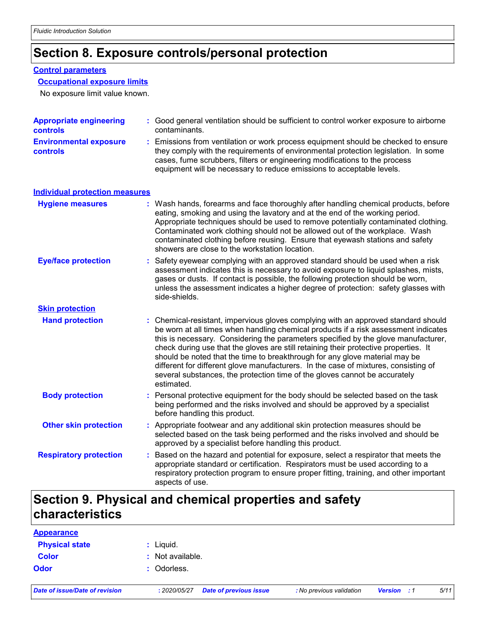## **Section 8. Exposure controls/personal protection**

### **Control parameters**

#### **Occupational exposure limits**

No exposure limit value known.

| <b>Appropriate engineering</b><br><b>controls</b> |    | : Good general ventilation should be sufficient to control worker exposure to airborne<br>contaminants.                                                                                                                                                                                                                                                                                                                                                                                                                                                                                                                   |  |  |  |
|---------------------------------------------------|----|---------------------------------------------------------------------------------------------------------------------------------------------------------------------------------------------------------------------------------------------------------------------------------------------------------------------------------------------------------------------------------------------------------------------------------------------------------------------------------------------------------------------------------------------------------------------------------------------------------------------------|--|--|--|
| <b>Environmental exposure</b><br>controls         |    | : Emissions from ventilation or work process equipment should be checked to ensure<br>they comply with the requirements of environmental protection legislation. In some<br>cases, fume scrubbers, filters or engineering modifications to the process<br>equipment will be necessary to reduce emissions to acceptable levels.                                                                                                                                                                                                                                                                                           |  |  |  |
| <b>Individual protection measures</b>             |    |                                                                                                                                                                                                                                                                                                                                                                                                                                                                                                                                                                                                                           |  |  |  |
| <b>Hygiene measures</b>                           |    | : Wash hands, forearms and face thoroughly after handling chemical products, before<br>eating, smoking and using the lavatory and at the end of the working period.<br>Appropriate techniques should be used to remove potentially contaminated clothing.<br>Contaminated work clothing should not be allowed out of the workplace. Wash<br>contaminated clothing before reusing. Ensure that eyewash stations and safety<br>showers are close to the workstation location.                                                                                                                                               |  |  |  |
| <b>Eye/face protection</b>                        |    | Safety eyewear complying with an approved standard should be used when a risk<br>assessment indicates this is necessary to avoid exposure to liquid splashes, mists,<br>gases or dusts. If contact is possible, the following protection should be worn,<br>unless the assessment indicates a higher degree of protection: safety glasses with<br>side-shields.                                                                                                                                                                                                                                                           |  |  |  |
| <b>Skin protection</b>                            |    |                                                                                                                                                                                                                                                                                                                                                                                                                                                                                                                                                                                                                           |  |  |  |
| <b>Hand protection</b>                            |    | : Chemical-resistant, impervious gloves complying with an approved standard should<br>be worn at all times when handling chemical products if a risk assessment indicates<br>this is necessary. Considering the parameters specified by the glove manufacturer,<br>check during use that the gloves are still retaining their protective properties. It<br>should be noted that the time to breakthrough for any glove material may be<br>different for different glove manufacturers. In the case of mixtures, consisting of<br>several substances, the protection time of the gloves cannot be accurately<br>estimated. |  |  |  |
| <b>Body protection</b>                            | t. | Personal protective equipment for the body should be selected based on the task<br>being performed and the risks involved and should be approved by a specialist<br>before handling this product.                                                                                                                                                                                                                                                                                                                                                                                                                         |  |  |  |
| <b>Other skin protection</b>                      |    | : Appropriate footwear and any additional skin protection measures should be<br>selected based on the task being performed and the risks involved and should be<br>approved by a specialist before handling this product.                                                                                                                                                                                                                                                                                                                                                                                                 |  |  |  |
| <b>Respiratory protection</b>                     | ÷. | Based on the hazard and potential for exposure, select a respirator that meets the<br>appropriate standard or certification. Respirators must be used according to a<br>respiratory protection program to ensure proper fitting, training, and other important<br>aspects of use.                                                                                                                                                                                                                                                                                                                                         |  |  |  |

## **Section 9. Physical and chemical properties and safety characteristics**

| <b>Appearance</b>              |                  |                               |                          |                    |      |
|--------------------------------|------------------|-------------------------------|--------------------------|--------------------|------|
| <b>Physical state</b>          | $:$ Liquid.      |                               |                          |                    |      |
| <b>Color</b>                   | : Not available. |                               |                          |                    |      |
| <b>Odor</b>                    | : Odorless.      |                               |                          |                    |      |
| Date of issue/Date of revision | : 2020/05/27     | <b>Date of previous issue</b> | : No previous validation | <b>Version</b> : 1 | 5/11 |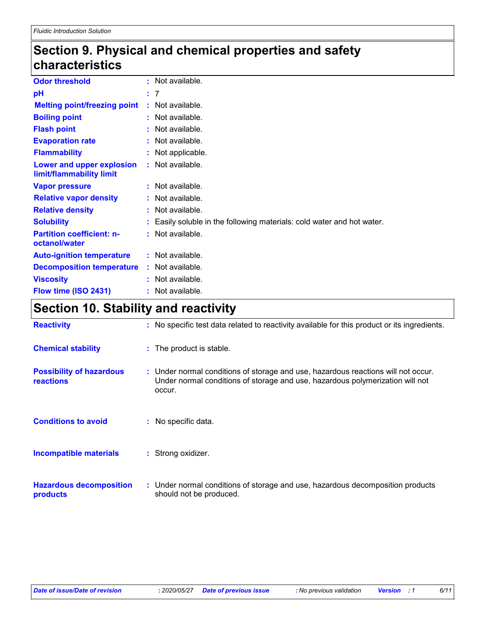## **Section 9. Physical and chemical properties and safety characteristics**

| <b>Odor threshold</b>                                 | : Not available.                                                     |
|-------------------------------------------------------|----------------------------------------------------------------------|
| рH                                                    | : 7                                                                  |
| <b>Melting point/freezing point</b>                   | : Not available.                                                     |
| <b>Boiling point</b>                                  | : Not available.                                                     |
| <b>Flash point</b>                                    | : Not available.                                                     |
| <b>Evaporation rate</b>                               | : Not available.                                                     |
| <b>Flammability</b>                                   | : Not applicable.                                                    |
| Lower and upper explosion<br>limit/flammability limit | : Not available.                                                     |
| <b>Vapor pressure</b>                                 | : Not available.                                                     |
| <b>Relative vapor density</b>                         | : Not available.                                                     |
| <b>Relative density</b>                               | : Not available.                                                     |
| <b>Solubility</b>                                     | Easily soluble in the following materials: cold water and hot water. |
| <b>Partition coefficient: n-</b><br>octanol/water     | : Not available.                                                     |
| <b>Auto-ignition temperature</b>                      | : Not available.                                                     |
| <b>Decomposition temperature</b>                      | : Not available.                                                     |
| <b>Viscosity</b>                                      | : Not available.                                                     |
| Flow time (ISO 2431)                                  | : Not available.                                                     |

## **Section 10. Stability and reactivity**

| <b>Reactivity</b>                                   | : No specific test data related to reactivity available for this product or its ingredients.                                                                                 |
|-----------------------------------------------------|------------------------------------------------------------------------------------------------------------------------------------------------------------------------------|
| <b>Chemical stability</b>                           | : The product is stable.                                                                                                                                                     |
| <b>Possibility of hazardous</b><br><b>reactions</b> | : Under normal conditions of storage and use, hazardous reactions will not occur.<br>Under normal conditions of storage and use, hazardous polymerization will not<br>occur. |
| <b>Conditions to avoid</b>                          | : No specific data.                                                                                                                                                          |
| <b>Incompatible materials</b>                       | : Strong oxidizer.                                                                                                                                                           |
| <b>Hazardous decomposition</b><br>products          | : Under normal conditions of storage and use, hazardous decomposition products<br>should not be produced.                                                                    |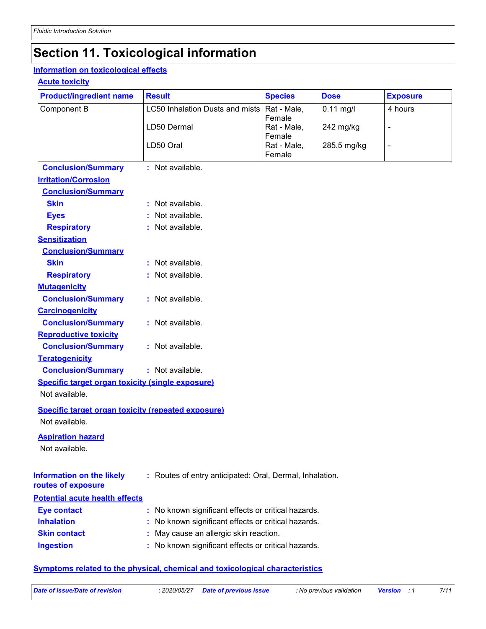## **Section 11. Toxicological information**

### **Information on toxicological effects**

### **Acute toxicity**

| <b>Product/ingredient name</b>                            | <b>Result</b>                                            | <b>Species</b>        | <b>Dose</b> | <b>Exposure</b> |
|-----------------------------------------------------------|----------------------------------------------------------|-----------------------|-------------|-----------------|
| Component B                                               | LC50 Inhalation Dusts and mists                          | Rat - Male,           | $0.11$ mg/l | 4 hours         |
|                                                           | LD50 Dermal                                              | Female<br>Rat - Male, | 242 mg/kg   | $\blacksquare$  |
|                                                           |                                                          | Female                |             |                 |
|                                                           | LD50 Oral                                                | Rat - Male,           | 285.5 mg/kg | $\blacksquare$  |
|                                                           |                                                          | Female                |             |                 |
| <b>Conclusion/Summary</b><br><b>Irritation/Corrosion</b>  | : Not available.                                         |                       |             |                 |
| <b>Conclusion/Summary</b>                                 |                                                          |                       |             |                 |
| <b>Skin</b>                                               | : Not available.                                         |                       |             |                 |
| <b>Eyes</b>                                               | Not available.                                           |                       |             |                 |
| <b>Respiratory</b>                                        | : Not available.                                         |                       |             |                 |
| <b>Sensitization</b>                                      |                                                          |                       |             |                 |
| <b>Conclusion/Summary</b>                                 |                                                          |                       |             |                 |
| <b>Skin</b>                                               | : Not available.                                         |                       |             |                 |
| <b>Respiratory</b>                                        | : Not available.                                         |                       |             |                 |
| <b>Mutagenicity</b>                                       |                                                          |                       |             |                 |
| <b>Conclusion/Summary</b>                                 | : Not available.                                         |                       |             |                 |
| <b>Carcinogenicity</b>                                    |                                                          |                       |             |                 |
| <b>Conclusion/Summary</b>                                 | : Not available.                                         |                       |             |                 |
| <b>Reproductive toxicity</b>                              |                                                          |                       |             |                 |
| <b>Conclusion/Summary</b>                                 | : Not available.                                         |                       |             |                 |
| <b>Teratogenicity</b>                                     |                                                          |                       |             |                 |
| <b>Conclusion/Summary</b>                                 | : Not available.                                         |                       |             |                 |
| <b>Specific target organ toxicity (single exposure)</b>   |                                                          |                       |             |                 |
| Not available.                                            |                                                          |                       |             |                 |
| <b>Specific target organ toxicity (repeated exposure)</b> |                                                          |                       |             |                 |
| Not available.                                            |                                                          |                       |             |                 |
| <b>Aspiration hazard</b>                                  |                                                          |                       |             |                 |
| Not available.                                            |                                                          |                       |             |                 |
|                                                           |                                                          |                       |             |                 |
| <b>Information on the likely</b><br>routes of exposure    | : Routes of entry anticipated: Oral, Dermal, Inhalation. |                       |             |                 |
| <b>Potential acute health effects</b>                     |                                                          |                       |             |                 |
| <b>Eye contact</b>                                        | : No known significant effects or critical hazards.      |                       |             |                 |
| <b>Inhalation</b>                                         | No known significant effects or critical hazards.        |                       |             |                 |
| <b>Skin contact</b>                                       | May cause an allergic skin reaction.                     |                       |             |                 |
| <b>Ingestion</b>                                          | : No known significant effects or critical hazards.      |                       |             |                 |
|                                                           |                                                          |                       |             |                 |

### **Symptoms related to the physical, chemical and toxicological characteristics**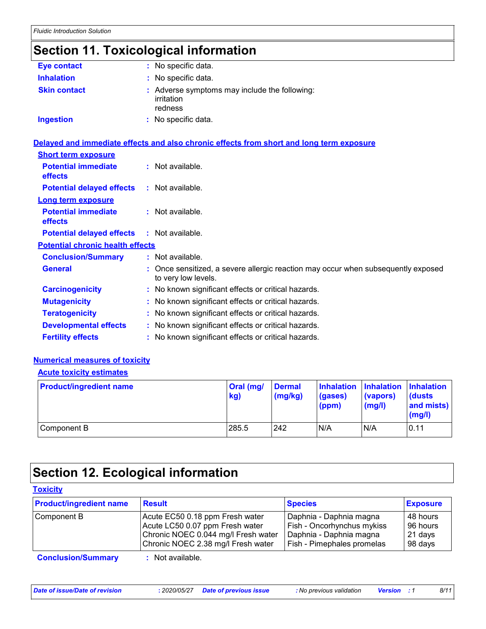## **Section 11. Toxicological information**

| Eye contact         | : No specific data.                                                    |
|---------------------|------------------------------------------------------------------------|
| <b>Inhalation</b>   | : No specific data.                                                    |
| <b>Skin contact</b> | : Adverse symptoms may include the following:<br>irritation<br>redness |
| <b>Ingestion</b>    | : No specific data.                                                    |

|                                              | <u>Delayed and immediate effects and also chronic effects from short and long term exposure</u>          |
|----------------------------------------------|----------------------------------------------------------------------------------------------------------|
| <b>Short term exposure</b>                   |                                                                                                          |
| <b>Potential immediate</b><br><b>effects</b> | $:$ Not available.                                                                                       |
| <b>Potential delayed effects</b>             | : Not available.                                                                                         |
| <b>Long term exposure</b>                    |                                                                                                          |
| <b>Potential immediate</b><br><b>effects</b> | $:$ Not available.                                                                                       |
| <b>Potential delayed effects</b>             | $:$ Not available.                                                                                       |
| <b>Potential chronic health effects</b>      |                                                                                                          |
| <b>Conclusion/Summary</b>                    | $:$ Not available.                                                                                       |
| <b>General</b>                               | : Once sensitized, a severe allergic reaction may occur when subsequently exposed<br>to very low levels. |
| <b>Carcinogenicity</b>                       | : No known significant effects or critical hazards.                                                      |
| <b>Mutagenicity</b>                          | : No known significant effects or critical hazards.                                                      |
| <b>Teratogenicity</b>                        | : No known significant effects or critical hazards.                                                      |
| <b>Developmental effects</b>                 | : No known significant effects or critical hazards.                                                      |
| <b>Fertility effects</b>                     | : No known significant effects or critical hazards.                                                      |

### **Numerical measures of toxicity**

#### **Acute toxicity estimates**

| <b>Product/ingredient name</b> | <b>Oral (mg/</b><br>kg) | <b>Dermal</b><br>$\log(kg)$ | Inhalation Inhalation Inhalation<br>(gases)<br>(ppm) | (vapors)<br>$\mathsf{mgl}()$ | <b>dusts</b><br>and mists)<br>(mg/l) |
|--------------------------------|-------------------------|-----------------------------|------------------------------------------------------|------------------------------|--------------------------------------|
| Component B                    | 285.5                   | 242                         | N/A                                                  | N/A                          | 0.11                                 |

## **Section 12. Ecological information**

| <b>Toxicity</b>                |                                                                                                                                                 |                                                                                                                |                                            |
|--------------------------------|-------------------------------------------------------------------------------------------------------------------------------------------------|----------------------------------------------------------------------------------------------------------------|--------------------------------------------|
| <b>Product/ingredient name</b> | <b>Result</b>                                                                                                                                   | <b>Species</b>                                                                                                 | <b>Exposure</b>                            |
| Component B                    | Acute EC50 0.18 ppm Fresh water<br>Acute LC50 0.07 ppm Fresh water<br>Chronic NOEC 0.044 mg/l Fresh water<br>Chronic NOEC 2.38 mg/l Fresh water | Daphnia - Daphnia magna<br>Fish - Oncorhynchus mykiss<br>Daphnia - Daphnia magna<br>Fish - Pimephales promelas | 48 hours<br>96 hours<br>21 days<br>98 days |
| <b>Conclusion/Summary</b>      | $:$ Not available.                                                                                                                              |                                                                                                                |                                            |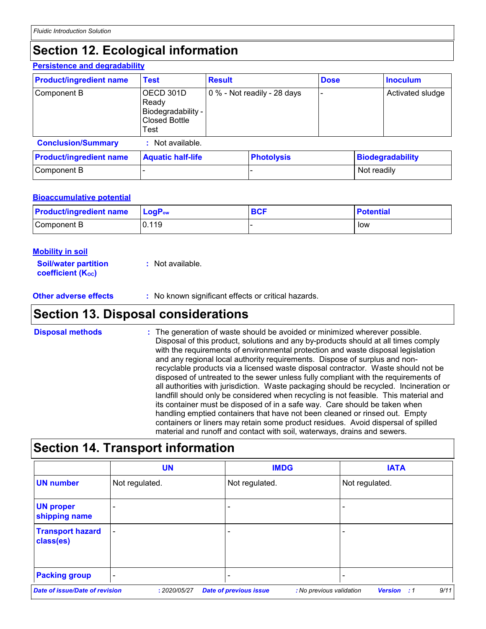## **Section 12. Ecological information**

#### **Persistence and degradability**

| <b>Product/ingredient name</b> | <b>Test</b>                                                              | <b>Result</b>               |                   | <b>Dose</b>              |                         | <b>Inoculum</b>  |
|--------------------------------|--------------------------------------------------------------------------|-----------------------------|-------------------|--------------------------|-------------------------|------------------|
| Component B                    | OECD 301D<br>Ready<br>Biodegradability -<br><b>Closed Bottle</b><br>Test | 0 % - Not readily - 28 days |                   | $\overline{\phantom{0}}$ |                         | Activated sludge |
| <b>Conclusion/Summary</b>      | Not available.                                                           |                             |                   |                          |                         |                  |
| <b>Product/ingredient name</b> | <b>Aquatic half-life</b>                                                 |                             | <b>Photolysis</b> |                          | <b>Biodegradability</b> |                  |
| Component B                    |                                                                          |                             |                   |                          | Not readily             |                  |

### **Bioaccumulative potential**

| <b>Product/ingredient name</b> | $ LogP_{ow} $ | <b>BCF</b> | <b>Potential</b> |
|--------------------------------|---------------|------------|------------------|
| Component B                    | 0.119         |            | low              |

| Mobility in soil                                        |                  |
|---------------------------------------------------------|------------------|
| <b>Soil/water partition</b><br><b>coefficient (Koc)</b> | : Not available. |

**Other adverse effects** : No known significant effects or critical hazards.

### **Section 13. Disposal considerations**

The generation of waste should be avoided or minimized wherever possible. Disposal of this product, solutions and any by-products should at all times comply with the requirements of environmental protection and waste disposal legislation and any regional local authority requirements. Dispose of surplus and nonrecyclable products via a licensed waste disposal contractor. Waste should not be disposed of untreated to the sewer unless fully compliant with the requirements of all authorities with jurisdiction. Waste packaging should be recycled. Incineration or landfill should only be considered when recycling is not feasible. This material and its container must be disposed of in a safe way. Care should be taken when handling emptied containers that have not been cleaned or rinsed out. Empty containers or liners may retain some product residues. Avoid dispersal of spilled material and runoff and contact with soil, waterways, drains and sewers. **Disposal methods :**

## **Section 14. Transport information**

|                                       | <b>UN</b>                | <b>IMDG</b>                                               | <b>IATA</b>                          |
|---------------------------------------|--------------------------|-----------------------------------------------------------|--------------------------------------|
| <b>UN number</b>                      | Not regulated.           | Not regulated.                                            | Not regulated.                       |
| <b>UN proper</b><br>shipping name     | $\overline{\phantom{0}}$ |                                                           |                                      |
| <b>Transport hazard</b><br>class(es)  | $\overline{\phantom{a}}$ |                                                           |                                      |
| <b>Packing group</b>                  | $\overline{\phantom{0}}$ | -                                                         |                                      |
| <b>Date of issue/Date of revision</b> | : 2020/05/27             | <b>Date of previous issue</b><br>: No previous validation | 9/11<br><b>Version</b><br>$\cdot$ :1 |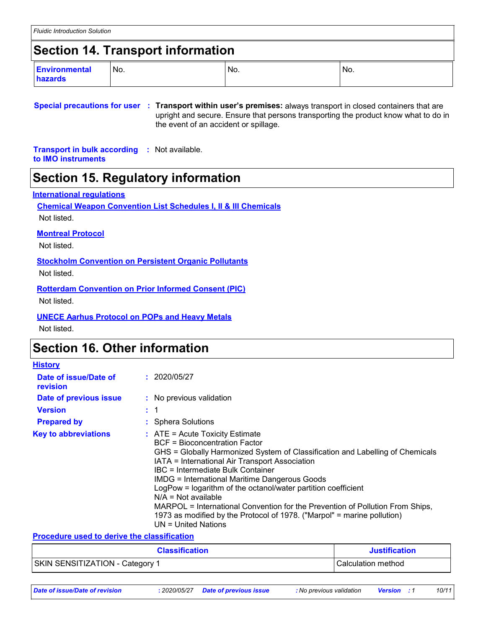## **Section 14. Transport information**

| <b>Environmental</b> | No. | No. | No. |
|----------------------|-----|-----|-----|
| hazards              |     |     |     |

**Special precautions for user Transport within user's premises:** always transport in closed containers that are **:** upright and secure. Ensure that persons transporting the product know what to do in the event of an accident or spillage.

**Transport in bulk according :** Not available. **to IMO instruments**

### **Section 15. Regulatory information**

### **International regulations**

**Chemical Weapon Convention List Schedules I, II & III Chemicals** Not listed.

### **Montreal Protocol**

Not listed.

**Stockholm Convention on Persistent Organic Pollutants**

Not listed.

### **Rotterdam Convention on Prior Informed Consent (PIC)**

Not listed.

### **UNECE Aarhus Protocol on POPs and Heavy Metals**

Not listed.

### **Section 16. Other information**

| <b>History</b>                    |                                                                                                                                                                                                                                                                                                                                                                                                                                                                                                                                                                                            |
|-----------------------------------|--------------------------------------------------------------------------------------------------------------------------------------------------------------------------------------------------------------------------------------------------------------------------------------------------------------------------------------------------------------------------------------------------------------------------------------------------------------------------------------------------------------------------------------------------------------------------------------------|
| Date of issue/Date of<br>revision | : 2020/05/27                                                                                                                                                                                                                                                                                                                                                                                                                                                                                                                                                                               |
| Date of previous issue            | : No previous validation                                                                                                                                                                                                                                                                                                                                                                                                                                                                                                                                                                   |
| <b>Version</b>                    |                                                                                                                                                                                                                                                                                                                                                                                                                                                                                                                                                                                            |
| <b>Prepared by</b>                | : Sphera Solutions                                                                                                                                                                                                                                                                                                                                                                                                                                                                                                                                                                         |
| <b>Key to abbreviations</b>       | $\therefore$ ATE = Acute Toxicity Estimate<br><b>BCF</b> = Bioconcentration Factor<br>GHS = Globally Harmonized System of Classification and Labelling of Chemicals<br>IATA = International Air Transport Association<br>IBC = Intermediate Bulk Container<br>IMDG = International Maritime Dangerous Goods<br>LogPow = logarithm of the octanol/water partition coefficient<br>$N/A = Not available$<br>MARPOL = International Convention for the Prevention of Pollution From Ships,<br>1973 as modified by the Protocol of 1978. ("Marpol" = marine pollution)<br>$UN = United Nations$ |

#### **Procedure used to derive the classification**

| <b>Classification</b>                  | <b>Justification</b> |
|----------------------------------------|----------------------|
| <b>SKIN SENSITIZATION - Category 1</b> | l Calculation method |

- 
- *Date of issue/Date of revision* **:** *2020/05/27 Date of previous issue : No previous validation Version : 1 10/11*